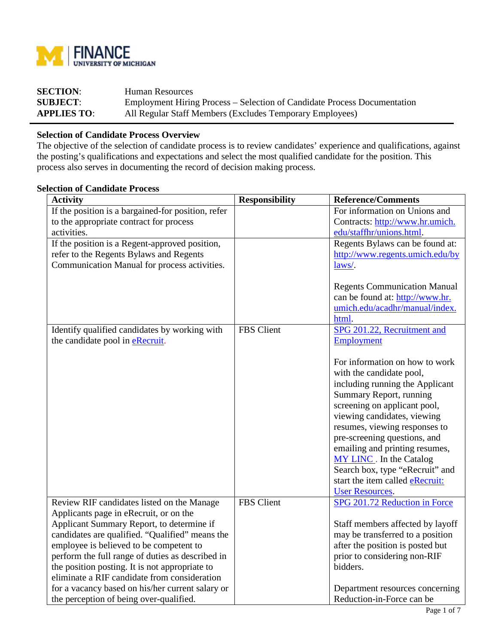

| <b>SECTION:</b>    | <b>Human Resources</b>                                                   |
|--------------------|--------------------------------------------------------------------------|
| <b>SUBJECT:</b>    | Employment Hiring Process – Selection of Candidate Process Documentation |
| <b>APPLIES TO:</b> | All Regular Staff Members (Excludes Temporary Employees)                 |

## **Selection of Candidate Process Overview**

The objective of the selection of candidate process is to review candidates' experience and qualifications, against the posting's qualifications and expectations and select the most qualified candidate for the position. This process also serves in documenting the record of decision making process.

## **Selection of Candidate Process**

| <b>Activity</b>                                    | <b>Responsibility</b> | <b>Reference/Comments</b>              |
|----------------------------------------------------|-----------------------|----------------------------------------|
| If the position is a bargained-for position, refer |                       | For information on Unions and          |
| to the appropriate contract for process            |                       | Contracts: http://www.hr.umich.        |
| activities.                                        |                       | edu/staffhr/unions.html                |
| If the position is a Regent-approved position,     |                       | Regents Bylaws can be found at:        |
| refer to the Regents Bylaws and Regents            |                       | http://www.regents.umich.edu/by        |
| Communication Manual for process activities.       |                       | laws/.                                 |
|                                                    |                       |                                        |
|                                                    |                       | <b>Regents Communication Manual</b>    |
|                                                    |                       | can be found at: http://www.hr.        |
|                                                    |                       | umich.edu/acadhr/manual/index.         |
|                                                    |                       | html.                                  |
| Identify qualified candidates by working with      | FBS Client            | SPG 201.22, Recruitment and            |
| the candidate pool in eRecruit.                    |                       | Employment                             |
|                                                    |                       |                                        |
|                                                    |                       | For information on how to work         |
|                                                    |                       | with the candidate pool,               |
|                                                    |                       | including running the Applicant        |
|                                                    |                       | Summary Report, running                |
|                                                    |                       | screening on applicant pool,           |
|                                                    |                       | viewing candidates, viewing            |
|                                                    |                       | resumes, viewing responses to          |
|                                                    |                       | pre-screening questions, and           |
|                                                    |                       | emailing and printing resumes,         |
|                                                    |                       | <b>MY LINC</b> . In the Catalog        |
|                                                    |                       | Search box, type "eRecruit" and        |
|                                                    |                       | start the item called <b>eRecruit:</b> |
|                                                    |                       | <b>User Resources.</b>                 |
| Review RIF candidates listed on the Manage         | <b>FBS</b> Client     | SPG 201.72 Reduction in Force          |
| Applicants page in eRecruit, or on the             |                       |                                        |
| Applicant Summary Report, to determine if          |                       | Staff members affected by layoff       |
| candidates are qualified. "Qualified" means the    |                       | may be transferred to a position       |
| employee is believed to be competent to            |                       | after the position is posted but       |
| perform the full range of duties as described in   |                       | prior to considering non-RIF           |
| the position posting. It is not appropriate to     |                       | bidders.                               |
| eliminate a RIF candidate from consideration       |                       |                                        |
| for a vacancy based on his/her current salary or   |                       | Department resources concerning        |
| the perception of being over-qualified.            |                       | Reduction-in-Force can be              |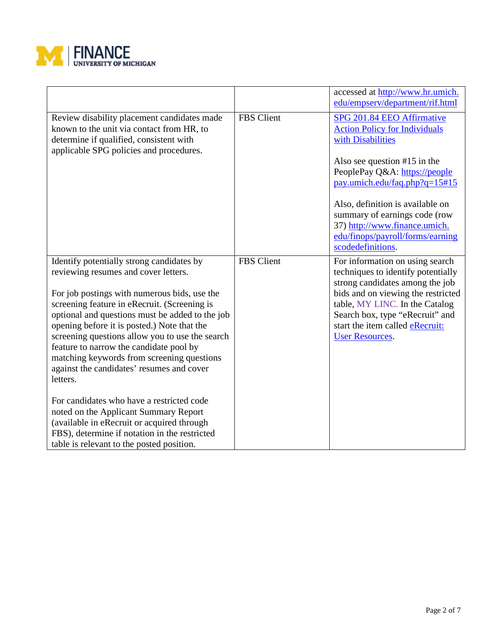

|                                                                                                                                                                                                                                                                                                                                                                                                                                                                                                                                                                                                                                                                                                                            |            | accessed at http://www.hr.umich.<br>edu/empserv/department/rif.html                                                                                                                                                                                                                                                                                        |
|----------------------------------------------------------------------------------------------------------------------------------------------------------------------------------------------------------------------------------------------------------------------------------------------------------------------------------------------------------------------------------------------------------------------------------------------------------------------------------------------------------------------------------------------------------------------------------------------------------------------------------------------------------------------------------------------------------------------------|------------|------------------------------------------------------------------------------------------------------------------------------------------------------------------------------------------------------------------------------------------------------------------------------------------------------------------------------------------------------------|
| Review disability placement candidates made<br>known to the unit via contact from HR, to<br>determine if qualified, consistent with<br>applicable SPG policies and procedures.                                                                                                                                                                                                                                                                                                                                                                                                                                                                                                                                             | FBS Client | SPG 201.84 EEO Affirmative<br><b>Action Policy for Individuals</b><br>with Disabilities<br>Also see question $#15$ in the<br>PeoplePay Q&A: https://people<br>pay.umich.edu/faq.php?q=15#15<br>Also, definition is available on<br>summary of earnings code (row<br>37) http://www.finance.umich.<br>edu/finops/payroll/forms/earning<br>scodedefinitions. |
| Identify potentially strong candidates by<br>reviewing resumes and cover letters.<br>For job postings with numerous bids, use the<br>screening feature in eRecruit. (Screening is<br>optional and questions must be added to the job<br>opening before it is posted.) Note that the<br>screening questions allow you to use the search<br>feature to narrow the candidate pool by<br>matching keywords from screening questions<br>against the candidates' resumes and cover<br>letters.<br>For candidates who have a restricted code<br>noted on the Applicant Summary Report<br>(available in eRecruit or acquired through<br>FBS), determine if notation in the restricted<br>table is relevant to the posted position. | FBS Client | For information on using search<br>techniques to identify potentially<br>strong candidates among the job<br>bids and on viewing the restricted<br>table, MY LINC. In the Catalog<br>Search box, type "eRecruit" and<br>start the item called <b>eRecruit:</b><br><b>User Resources.</b>                                                                    |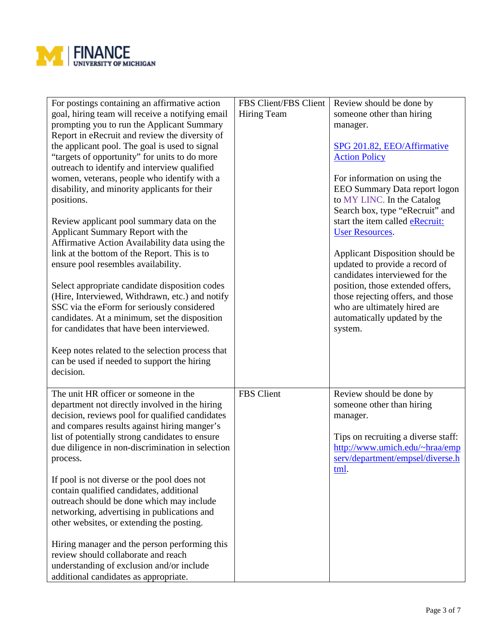

| For postings containing an affirmative action<br>goal, hiring team will receive a notifying email<br>prompting you to run the Applicant Summary<br>Report in eRecruit and review the diversity of<br>the applicant pool. The goal is used to signal<br>"targets of opportunity" for units to do more<br>outreach to identify and interview qualified<br>women, veterans, people who identify with a<br>disability, and minority applicants for their<br>positions.<br>Review applicant pool summary data on the<br>Applicant Summary Report with the<br>Affirmative Action Availability data using the<br>link at the bottom of the Report. This is to<br>ensure pool resembles availability.<br>Select appropriate candidate disposition codes<br>(Hire, Interviewed, Withdrawn, etc.) and notify<br>SSC via the eForm for seriously considered<br>candidates. At a minimum, set the disposition<br>for candidates that have been interviewed.<br>Keep notes related to the selection process that<br>can be used if needed to support the hiring<br>decision. | FBS Client/FBS Client<br>Hiring Team | Review should be done by<br>someone other than hiring<br>manager.<br>SPG 201.82, EEO/Affirmative<br><b>Action Policy</b><br>For information on using the<br>EEO Summary Data report logon<br>to MY LINC. In the Catalog<br>Search box, type "eRecruit" and<br>start the item called eRecruit:<br><b>User Resources.</b><br>Applicant Disposition should be<br>updated to provide a record of<br>candidates interviewed for the<br>position, those extended offers,<br>those rejecting offers, and those<br>who are ultimately hired are<br>automatically updated by the<br>system. |
|-----------------------------------------------------------------------------------------------------------------------------------------------------------------------------------------------------------------------------------------------------------------------------------------------------------------------------------------------------------------------------------------------------------------------------------------------------------------------------------------------------------------------------------------------------------------------------------------------------------------------------------------------------------------------------------------------------------------------------------------------------------------------------------------------------------------------------------------------------------------------------------------------------------------------------------------------------------------------------------------------------------------------------------------------------------------|--------------------------------------|------------------------------------------------------------------------------------------------------------------------------------------------------------------------------------------------------------------------------------------------------------------------------------------------------------------------------------------------------------------------------------------------------------------------------------------------------------------------------------------------------------------------------------------------------------------------------------|
| The unit HR officer or someone in the<br>department not directly involved in the hiring<br>decision, reviews pool for qualified candidates<br>and compares results against hiring manger's<br>list of potentially strong candidates to ensure<br>due diligence in non-discrimination in selection<br>process.<br>If pool is not diverse or the pool does not<br>contain qualified candidates, additional<br>outreach should be done which may include<br>networking, advertising in publications and<br>other websites, or extending the posting.<br>Hiring manager and the person performing this<br>review should collaborate and reach<br>understanding of exclusion and/or include<br>additional candidates as appropriate.                                                                                                                                                                                                                                                                                                                                 | FBS Client                           | Review should be done by<br>someone other than hiring<br>manager.<br>Tips on recruiting a diverse staff:<br>http://www.umich.edu/~hraa/emp<br>serv/department/empsel/diverse.h<br>tml.                                                                                                                                                                                                                                                                                                                                                                                             |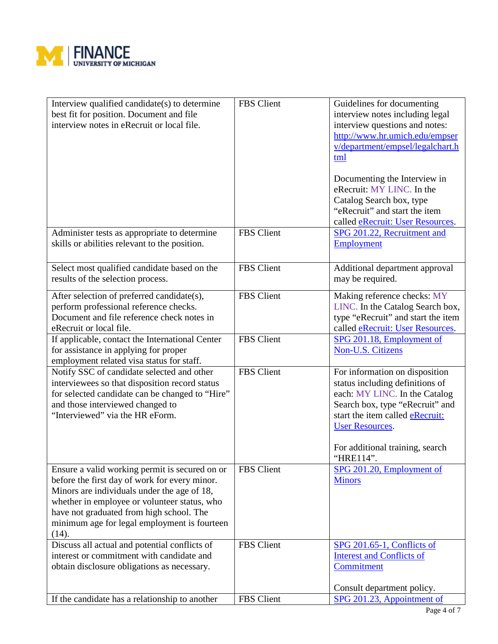

| Interview qualified candidate(s) to determine<br>best fit for position. Document and file<br>interview notes in eRecruit or local file.                                                                                                                                                             | FBS Client | Guidelines for documenting<br>interview notes including legal<br>interview questions and notes:<br>http://www.hr.umich.edu/empser<br>v/department/empsel/legalchart.h<br>tml<br>Documenting the Interview in<br>eRecruit: MY LINC. In the<br>Catalog Search box, type<br>"eRecruit" and start the item<br>called eRecruit: User Resources. |
|-----------------------------------------------------------------------------------------------------------------------------------------------------------------------------------------------------------------------------------------------------------------------------------------------------|------------|--------------------------------------------------------------------------------------------------------------------------------------------------------------------------------------------------------------------------------------------------------------------------------------------------------------------------------------------|
| Administer tests as appropriate to determine<br>skills or abilities relevant to the position.                                                                                                                                                                                                       | FBS Client | SPG 201.22, Recruitment and<br>Employment                                                                                                                                                                                                                                                                                                  |
| Select most qualified candidate based on the<br>results of the selection process.                                                                                                                                                                                                                   | FBS Client | Additional department approval<br>may be required.                                                                                                                                                                                                                                                                                         |
| After selection of preferred candidate(s),<br>perform professional reference checks.<br>Document and file reference check notes in<br>eRecruit or local file.                                                                                                                                       | FBS Client | Making reference checks: MY<br>LINC. In the Catalog Search box,<br>type "eRecruit" and start the item<br>called eRecruit: User Resources.                                                                                                                                                                                                  |
| If applicable, contact the International Center<br>for assistance in applying for proper<br>employment related visa status for staff.                                                                                                                                                               | FBS Client | SPG 201.18, Employment of<br>Non-U.S. Citizens                                                                                                                                                                                                                                                                                             |
| Notify SSC of candidate selected and other<br>interviewees so that disposition record status<br>for selected candidate can be changed to "Hire"<br>and those interviewed changed to<br>"Interviewed" via the HR eForm.                                                                              | FBS Client | For information on disposition<br>status including definitions of<br>each: MY LINC. In the Catalog<br>Search box, type "eRecruit" and<br>start the item called eRecruit:<br><b>User Resources.</b><br>For additional training, search<br>"HRE114".                                                                                         |
| Ensure a valid working permit is secured on or<br>before the first day of work for every minor.<br>Minors are individuals under the age of 18,<br>whether in employee or volunteer status, who<br>have not graduated from high school. The<br>minimum age for legal employment is fourteen<br>(14). | FBS Client | SPG 201.20, Employment of<br><b>Minors</b>                                                                                                                                                                                                                                                                                                 |
| Discuss all actual and potential conflicts of<br>interest or commitment with candidate and<br>obtain disclosure obligations as necessary.                                                                                                                                                           | FBS Client | <b>SPG 201.65-1, Conflicts of</b><br><b>Interest and Conflicts of</b><br>Commitment<br>Consult department policy.                                                                                                                                                                                                                          |
| If the candidate has a relationship to another                                                                                                                                                                                                                                                      | FBS Client | SPG 201.23, Appointment of                                                                                                                                                                                                                                                                                                                 |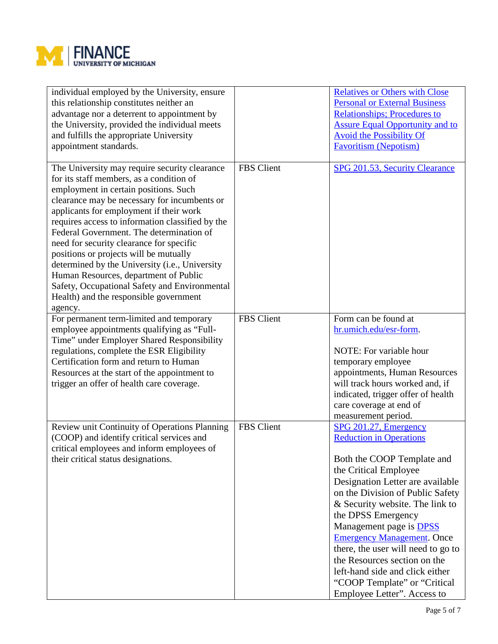

| individual employed by the University, ensure<br>this relationship constitutes neither an<br>advantage nor a deterrent to appointment by<br>the University, provided the individual meets<br>and fulfills the appropriate University<br>appointment standards.                                                                                                                                                                                                                                                                                                                                                       |                   | <b>Relatives or Others with Close</b><br><b>Personal or External Business</b><br><b>Relationships; Procedures to</b><br><b>Assure Equal Opportunity and to</b><br><b>Avoid the Possibility Of</b><br><b>Favoritism (Nepotism)</b>                                                                                                                                                                                                                                                               |
|----------------------------------------------------------------------------------------------------------------------------------------------------------------------------------------------------------------------------------------------------------------------------------------------------------------------------------------------------------------------------------------------------------------------------------------------------------------------------------------------------------------------------------------------------------------------------------------------------------------------|-------------------|-------------------------------------------------------------------------------------------------------------------------------------------------------------------------------------------------------------------------------------------------------------------------------------------------------------------------------------------------------------------------------------------------------------------------------------------------------------------------------------------------|
| The University may require security clearance<br>for its staff members, as a condition of<br>employment in certain positions. Such<br>clearance may be necessary for incumbents or<br>applicants for employment if their work<br>requires access to information classified by the<br>Federal Government. The determination of<br>need for security clearance for specific<br>positions or projects will be mutually<br>determined by the University (i.e., University<br>Human Resources, department of Public<br>Safety, Occupational Safety and Environmental<br>Health) and the responsible government<br>agency. | FBS Client        | SPG 201.53, Security Clearance                                                                                                                                                                                                                                                                                                                                                                                                                                                                  |
| For permanent term-limited and temporary<br>employee appointments qualifying as "Full-<br>Time" under Employer Shared Responsibility<br>regulations, complete the ESR Eligibility<br>Certification form and return to Human<br>Resources at the start of the appointment to<br>trigger an offer of health care coverage.                                                                                                                                                                                                                                                                                             | <b>FBS</b> Client | Form can be found at<br>hr.umich.edu/esr-form.<br>NOTE: For variable hour<br>temporary employee<br>appointments, Human Resources<br>will track hours worked and, if<br>indicated, trigger offer of health<br>care coverage at end of<br>measurement period.                                                                                                                                                                                                                                     |
| Review unit Continuity of Operations Planning<br>(COOP) and identify critical services and<br>critical employees and inform employees of<br>their critical status designations.                                                                                                                                                                                                                                                                                                                                                                                                                                      | FBS Client        | SPG 201.27, Emergency<br><b>Reduction in Operations</b><br>Both the COOP Template and<br>the Critical Employee<br>Designation Letter are available<br>on the Division of Public Safety<br>& Security website. The link to<br>the DPSS Emergency<br>Management page is <b>DPSS</b><br><b>Emergency Management.</b> Once<br>there, the user will need to go to<br>the Resources section on the<br>left-hand side and click either<br>"COOP Template" or "Critical"<br>Employee Letter". Access to |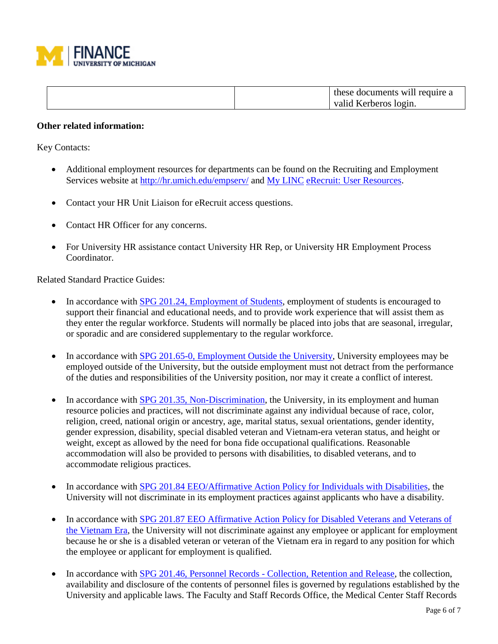

| these documents will require a |
|--------------------------------|
| valid Kerberos login.          |

## **Other related information:**

Key Contacts:

- Additional employment resources for departments can be found on the Recruiting and Employment Services website at<http://hr.umich.edu/empserv/> and [My LINC](https://maislinc.umich.edu/maislinc/learner/home/index?lang=en-US) [eRecruit: User Resources.](http://maislinc.umich.edu/maislinc/lang-en/management/LMS_ActDetails.asp?UserMode=0&ActivityId=30706&CallerURL=/maislinc/lang-en/taxonomy/TAX_Search.asp?UserMode=0&NodeID=0&SelectedNodeID=0&VSC=ItemName&VSO=A&SourceRef=-1&DispMode=normal&AdvType=0&SearchSt)
- Contact your HR Unit Liaison for eRecruit access questions.
- Contact HR Officer for any concerns.
- For University HR assistance contact University HR Rep, or University HR Employment Process Coordinator.

Related Standard Practice Guides:

- In accordance with [SPG 201.24, Employment of Students,](http://spg.umich.edu/pdf/201.24.pdf) employment of students is encouraged to support their financial and educational needs, and to provide work experience that will assist them as they enter the regular workforce. Students will normally be placed into jobs that are seasonal, irregular, or sporadic and are considered supplementary to the regular workforce.
- In accordance with [SPG 201.65-0, Employment Outside the University,](http://spg.umich.edu/pdf/201.65-0.pdf) University employees may be employed outside of the University, but the outside employment must not detract from the performance of the duties and responsibilities of the University position, nor may it create a conflict of interest.
- In accordance with **SPG 201.35, Non-Discrimination**, the University, in its employment and human resource policies and practices, will not discriminate against any individual because of race, color, religion, creed, national origin or ancestry, age, marital status, sexual orientations, gender identity, gender expression, disability, special disabled veteran and Vietnam-era veteran status, and height or weight, except as allowed by the need for bona fide occupational qualifications. Reasonable accommodation will also be provided to persons with disabilities, to disabled veterans, and to accommodate religious practices.
- In accordance with [SPG 201.84 EEO/Affirmative Action Policy for Individuals with Disabilities,](http://spg.umich.edu/pdf/201.84.pdf) the University will not discriminate in its employment practices against applicants who have a disability.
- In accordance with SPG 201.87 EEO Affirmative Action Policy for Disabled Veterans and Veterans of [the Vietnam Era,](http://spg.umich.edu/pdf/201.87.pdf) the University will not discriminate against any employee or applicant for employment because he or she is a disabled veteran or veteran of the Vietnam era in regard to any position for which the employee or applicant for employment is qualified.
- In accordance with SPG 201.46, Personnel Records [Collection, Retention and Release,](http://spg.umich.edu/pdf/201.46.pdf) the collection, availability and disclosure of the contents of personnel files is governed by regulations established by the University and applicable laws. The Faculty and Staff Records Office, the Medical Center Staff Records